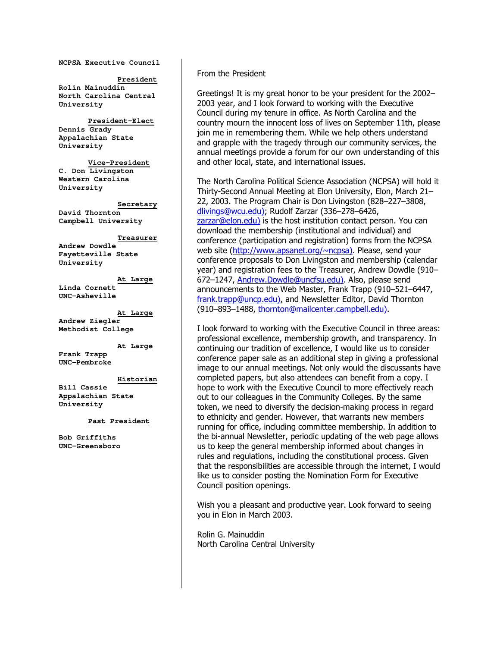**NCPSA Executive Council** 

**President Rolin Mainuddin North Carolina Central University** 

 **President-Elect Dennis Grady Appalachian State University** 

**Vice-President C. Don Livingston Western Carolina University** 

**Secretary David Thornton Campbell University** 

#### **Treasurer**

**Andrew Dowdle Fayetteville State University** 

**At Large Linda Cornett UNC-Asheville** 

**At Large Andrew Ziegler Methodist College** 

**At Large**

**Frank Trapp UNC-Pembroke** 

#### **Historian**

**Bill Cassie Appalachian State University** 

#### **Past President**

**Bob Griffiths UNC-Greensboro** 

#### From the President

Greetings! It is my great honor to be your president for the 2002– 2003 year, and I look forward to working with the Executive Council during my tenure in office. As North Carolina and the country mourn the innocent loss of lives on September 11th, please join me in remembering them. While we help others understand and grapple with the tragedy through our community services, the annual meetings provide a forum for our own understanding of this and other local, state, and international issues.

The North Carolina Political Science Association (NCPSA) will hold it Thirty-Second Annual Meeting at Elon University, Elon, March 21– 22, 2003. The Program Chair is Don Livingston (828–227–3808, dlivings@wcu.edu); Rudolf Zarzar (336–278–6426, zarzar@elon.edu) is the host institution contact person. You can download the membership (institutional and individual) and conference (participation and registration) forms from the NCPSA web site (http://www.apsanet.org/~ncpsa). Please, send your conference proposals to Don Livingston and membership (calendar year) and registration fees to the Treasurer, Andrew Dowdle (910– 672–1247, Andrew.Dowdle@uncfsu.edu). Also, please send announcements to the Web Master, Frank Trapp (910–521–6447, frank.trapp@uncp.edu), and Newsletter Editor, David Thornton (910–893–1488, thornton@mailcenter.campbell.edu).

I look forward to working with the Executive Council in three areas: professional excellence, membership growth, and transparency. In continuing our tradition of excellence, I would like us to consider conference paper sale as an additional step in giving a professional image to our annual meetings. Not only would the discussants have completed papers, but also attendees can benefit from a copy. I hope to work with the Executive Council to more effectively reach out to our colleagues in the Community Colleges. By the same token, we need to diversify the decision-making process in regard to ethnicity and gender. However, that warrants new members running for office, including committee membership. In addition to the bi-annual Newsletter, periodic updating of the web page allows us to keep the general membership informed about changes in rules and regulations, including the constitutional process. Given that the responsibilities are accessible through the internet, I would like us to consider posting the Nomination Form for Executive Council position openings.

Wish you a pleasant and productive year. Look forward to seeing you in Elon in March 2003.

Rolin G. Mainuddin North Carolina Central University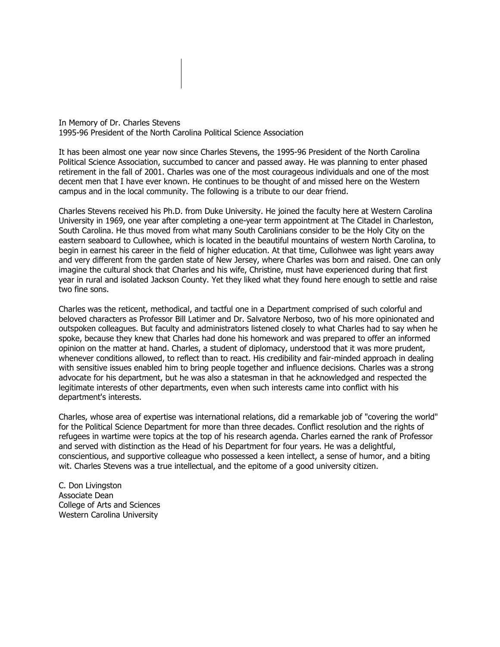In Memory of Dr. Charles Stevens 1995-96 President of the North Carolina Political Science Association

It has been almost one year now since Charles Stevens, the 1995-96 President of the North Carolina Political Science Association, succumbed to cancer and passed away. He was planning to enter phased retirement in the fall of 2001. Charles was one of the most courageous individuals and one of the most decent men that I have ever known. He continues to be thought of and missed here on the Western campus and in the local community. The following is a tribute to our dear friend.

Charles Stevens received his Ph.D. from Duke University. He joined the faculty here at Western Carolina University in 1969, one year after completing a one-year term appointment at The Citadel in Charleston, South Carolina. He thus moved from what many South Carolinians consider to be the Holy City on the eastern seaboard to Cullowhee, which is located in the beautiful mountains of western North Carolina, to begin in earnest his career in the field of higher education. At that time, Cullohwee was light years away and very different from the garden state of New Jersey, where Charles was born and raised. One can only imagine the cultural shock that Charles and his wife, Christine, must have experienced during that first year in rural and isolated Jackson County. Yet they liked what they found here enough to settle and raise two fine sons.

Charles was the reticent, methodical, and tactful one in a Department comprised of such colorful and beloved characters as Professor Bill Latimer and Dr. Salvatore Nerboso, two of his more opinionated and outspoken colleagues. But faculty and administrators listened closely to what Charles had to say when he spoke, because they knew that Charles had done his homework and was prepared to offer an informed opinion on the matter at hand. Charles, a student of diplomacy, understood that it was more prudent, whenever conditions allowed, to reflect than to react. His credibility and fair-minded approach in dealing with sensitive issues enabled him to bring people together and influence decisions. Charles was a strong advocate for his department, but he was also a statesman in that he acknowledged and respected the legitimate interests of other departments, even when such interests came into conflict with his department's interests.

Charles, whose area of expertise was international relations, did a remarkable job of "covering the world" for the Political Science Department for more than three decades. Conflict resolution and the rights of refugees in wartime were topics at the top of his research agenda. Charles earned the rank of Professor and served with distinction as the Head of his Department for four years. He was a delightful, conscientious, and supportive colleague who possessed a keen intellect, a sense of humor, and a biting wit. Charles Stevens was a true intellectual, and the epitome of a good university citizen.

C. Don Livingston Associate Dean College of Arts and Sciences Western Carolina University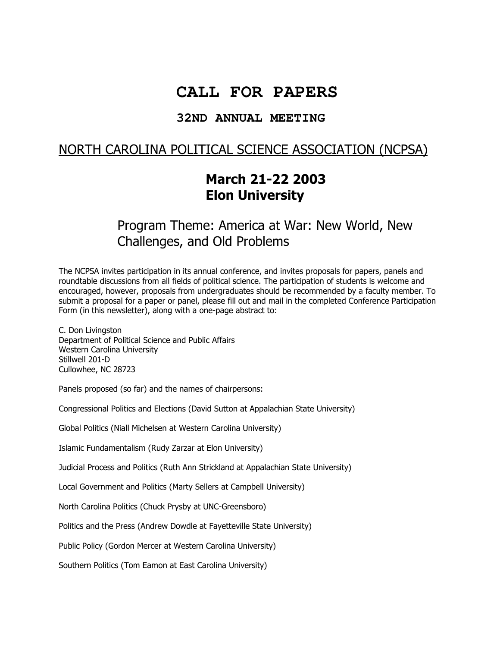# **CALL FOR PAPERS**

### **32ND ANNUAL MEETING**

## NORTH CAROLINA POLITICAL SCIENCE ASSOCIATION (NCPSA)

# March 21-22 2003 Elon University

# Program Theme: America at War: New World, New Challenges, and Old Problems

The NCPSA invites participation in its annual conference, and invites proposals for papers, panels and roundtable discussions from all fields of political science. The participation of students is welcome and encouraged, however, proposals from undergraduates should be recommended by a faculty member. To submit a proposal for a paper or panel, please fill out and mail in the completed Conference Participation Form (in this newsletter), along with a one-page abstract to:

C. Don Livingston Department of Political Science and Public Affairs Western Carolina University Stillwell 201-D Cullowhee, NC 28723

Panels proposed (so far) and the names of chairpersons:

Congressional Politics and Elections (David Sutton at Appalachian State University)

Global Politics (Niall Michelsen at Western Carolina University)

Islamic Fundamentalism (Rudy Zarzar at Elon University)

Judicial Process and Politics (Ruth Ann Strickland at Appalachian State University)

Local Government and Politics (Marty Sellers at Campbell University)

North Carolina Politics (Chuck Prysby at UNC-Greensboro)

Politics and the Press (Andrew Dowdle at Fayetteville State University)

Public Policy (Gordon Mercer at Western Carolina University)

Southern Politics (Tom Eamon at East Carolina University)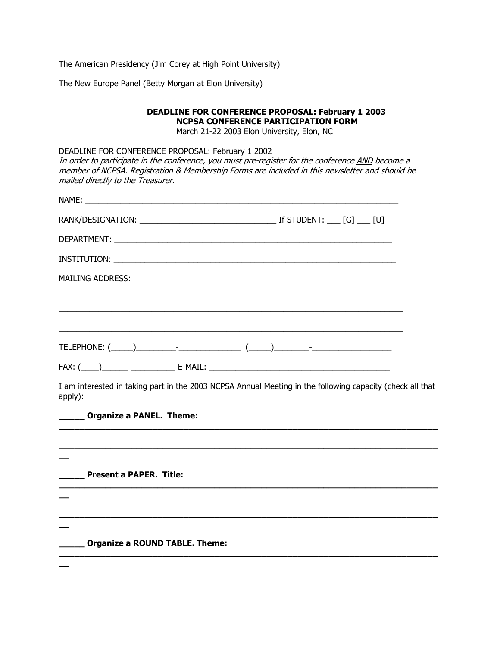The American Presidency (Jim Corey at High Point University)

The New Europe Panel (Betty Morgan at Elon University)

| <b>DEADLINE FOR CONFERENCE PROPOSAL: February 1 2003</b><br><b>NCPSA CONFERENCE PARTICIPATION FORM</b>                                                                                                                                                                                       |                                            |  |  |  |  |  |
|----------------------------------------------------------------------------------------------------------------------------------------------------------------------------------------------------------------------------------------------------------------------------------------------|--------------------------------------------|--|--|--|--|--|
|                                                                                                                                                                                                                                                                                              | March 21-22 2003 Elon University, Elon, NC |  |  |  |  |  |
| DEADLINE FOR CONFERENCE PROPOSAL: February 1 2002<br>In order to participate in the conference, you must pre-register for the conference AND become a<br>member of NCPSA. Registration & Membership Forms are included in this newsletter and should be<br>mailed directly to the Treasurer. |                                            |  |  |  |  |  |
| NAME: NAME:                                                                                                                                                                                                                                                                                  |                                            |  |  |  |  |  |
|                                                                                                                                                                                                                                                                                              |                                            |  |  |  |  |  |
|                                                                                                                                                                                                                                                                                              |                                            |  |  |  |  |  |
|                                                                                                                                                                                                                                                                                              |                                            |  |  |  |  |  |
| <b>MAILING ADDRESS:</b>                                                                                                                                                                                                                                                                      |                                            |  |  |  |  |  |
|                                                                                                                                                                                                                                                                                              |                                            |  |  |  |  |  |
|                                                                                                                                                                                                                                                                                              |                                            |  |  |  |  |  |
|                                                                                                                                                                                                                                                                                              |                                            |  |  |  |  |  |
|                                                                                                                                                                                                                                                                                              |                                            |  |  |  |  |  |
| I am interested in taking part in the 2003 NCPSA Annual Meeting in the following capacity (check all that<br>apply):                                                                                                                                                                         |                                            |  |  |  |  |  |
| _____ Organize a PANEL. Theme:                                                                                                                                                                                                                                                               |                                            |  |  |  |  |  |
|                                                                                                                                                                                                                                                                                              |                                            |  |  |  |  |  |
|                                                                                                                                                                                                                                                                                              |                                            |  |  |  |  |  |
| Present a PAPER. Title:                                                                                                                                                                                                                                                                      |                                            |  |  |  |  |  |
|                                                                                                                                                                                                                                                                                              |                                            |  |  |  |  |  |
| <b>Organize a ROUND TABLE. Theme:</b>                                                                                                                                                                                                                                                        |                                            |  |  |  |  |  |
|                                                                                                                                                                                                                                                                                              |                                            |  |  |  |  |  |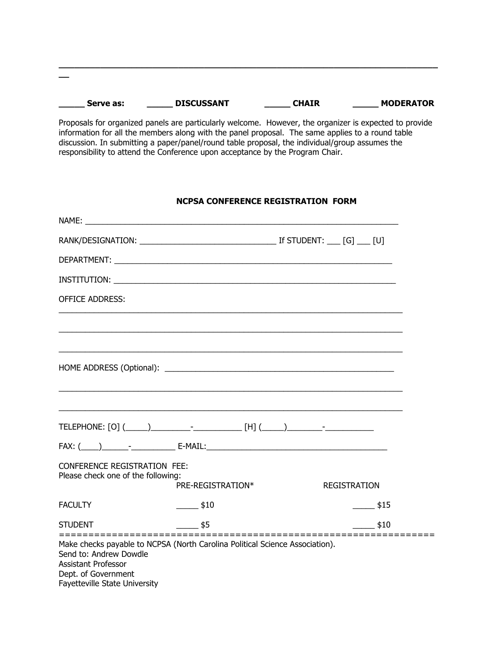| Serve as: | <b>DISCUSSANT</b> | <b>CHAIR</b> | <b>MODERATOR</b> |
|-----------|-------------------|--------------|------------------|
|           |                   |              |                  |

 $\_$  ,  $\_$  ,  $\_$  ,  $\_$  ,  $\_$  ,  $\_$  ,  $\_$  ,  $\_$  ,  $\_$  ,  $\_$  ,  $\_$  ,  $\_$  ,  $\_$  ,  $\_$  ,  $\_$  ,  $\_$  ,  $\_$  ,  $\_$  ,  $\_$  ,  $\_$  ,  $\_$  ,  $\_$  ,  $\_$  ,  $\_$  ,  $\_$  ,  $\_$  ,  $\_$  ,  $\_$  ,  $\_$  ,  $\_$  ,  $\_$  ,  $\_$  ,  $\_$  ,  $\_$  ,  $\_$  ,  $\_$  ,  $\_$  ,

 $\overline{\phantom{a}}$ 

Proposals for organized panels are particularly welcome. However, the organizer is expected to provide information for all the members along with the panel proposal. The same applies to a round table discussion. In submitting a paper/panel/round table proposal, the individual/group assumes the responsibility to attend the Conference upon acceptance by the Program Chair.

### NCPSA CONFERENCE REGISTRATION FORM

| <b>OFFICE ADDRESS:</b>                                                                                                                                                                                         |                                  |                     |                     |
|----------------------------------------------------------------------------------------------------------------------------------------------------------------------------------------------------------------|----------------------------------|---------------------|---------------------|
|                                                                                                                                                                                                                |                                  |                     |                     |
|                                                                                                                                                                                                                |                                  |                     |                     |
|                                                                                                                                                                                                                |                                  |                     |                     |
|                                                                                                                                                                                                                |                                  |                     |                     |
|                                                                                                                                                                                                                |                                  |                     |                     |
|                                                                                                                                                                                                                |                                  |                     |                     |
|                                                                                                                                                                                                                |                                  |                     |                     |
| <b>CONFERENCE REGISTRATION FEE:</b>                                                                                                                                                                            |                                  |                     |                     |
| Please check one of the following:                                                                                                                                                                             | PRE-REGISTRATION*                | <b>REGISTRATION</b> |                     |
| <b>FACULTY</b>                                                                                                                                                                                                 | $\frac{\text{I}}{\text{I}}$ \$10 |                     | $\frac{\ }{2}$ \$15 |
| <b>STUDENT</b>                                                                                                                                                                                                 | $\frac{\ }{\ }$ \$5              |                     | \$10                |
| ==============<br>Make checks payable to NCPSA (North Carolina Political Science Association).<br>Send to: Andrew Dowdle<br><b>Assistant Professor</b><br>Dept. of Government<br>Fayetteville State University |                                  |                     |                     |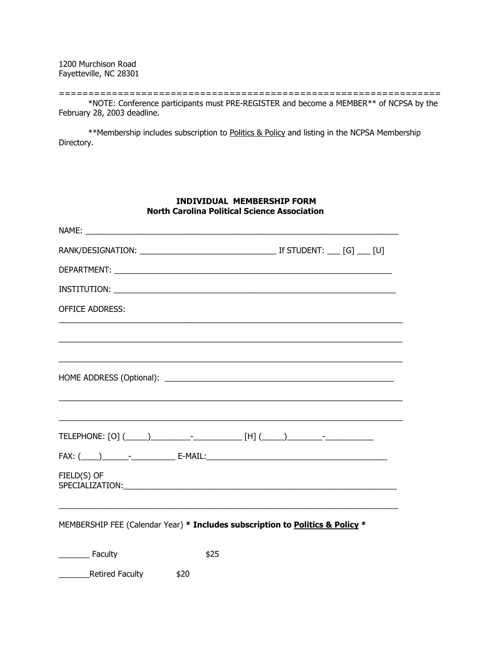1200 Murchison Road Fayetteville, NC 28301

================================================================= \*NOTE: Conference participants must PRE-REGISTER and become a MEMBER\*\* of NCPSA by the February 28, 2003 deadline.

 \*\*Membership includes subscription to Politics & Policy and listing in the NCPSA Membership Directory.

### INDIVIDUAL MEMBERSHIP FORM North Carolina Political Science Association

| <b>OFFICE ADDRESS:</b>                                                                                                                                                                                                                        |  |
|-----------------------------------------------------------------------------------------------------------------------------------------------------------------------------------------------------------------------------------------------|--|
|                                                                                                                                                                                                                                               |  |
|                                                                                                                                                                                                                                               |  |
|                                                                                                                                                                                                                                               |  |
|                                                                                                                                                                                                                                               |  |
|                                                                                                                                                                                                                                               |  |
|                                                                                                                                                                                                                                               |  |
| FIELD(S) OF<br>SPECIALIZATION: The contract of the contract of the contract of the contract of the contract of the contract of the contract of the contract of the contract of the contract of the contract of the contract of the contract o |  |
|                                                                                                                                                                                                                                               |  |

MEMBERSHIP FEE (Calendar Year) \* Includes subscription to Politics & Policy \*

\_\_\_\_\_\_\_ Faculty \$25

Lacker Executer Retired Faculty \$20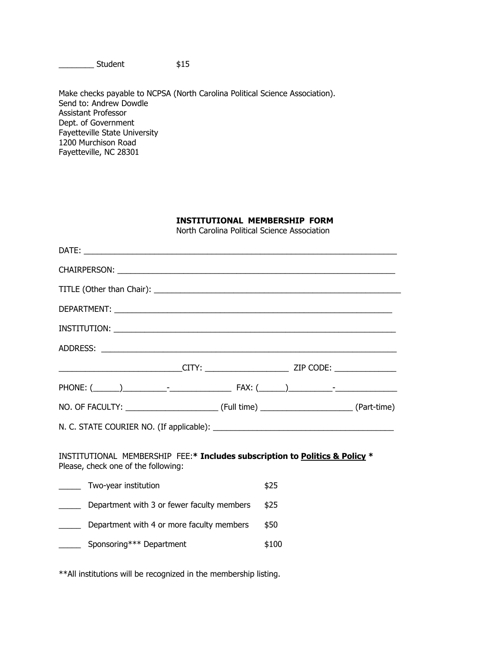\_\_\_\_\_\_\_\_ Student \$15

Make checks payable to NCPSA (North Carolina Political Science Association). Send to: Andrew Dowdle Assistant Professor Dept. of Government Fayetteville State University 1200 Murchison Road Fayetteville, NC 28301

#### INSTITUTIONAL MEMBERSHIP FORM

North Carolina Political Science Association

| _____________________________CITY: ________________________ZIP CODE: _____________                                 |       |  |  |  |
|--------------------------------------------------------------------------------------------------------------------|-------|--|--|--|
|                                                                                                                    |       |  |  |  |
|                                                                                                                    |       |  |  |  |
|                                                                                                                    |       |  |  |  |
| INSTITUTIONAL MEMBERSHIP FEE:* Includes subscription to Politics & Policy *<br>Please, check one of the following: |       |  |  |  |
| Two-year institution                                                                                               | \$25  |  |  |  |
| Department with 3 or fewer faculty members                                                                         | \$25  |  |  |  |
| Department with 4 or more faculty members<br>$\overline{\phantom{a}}$                                              | \$50  |  |  |  |
| Sponsoring*** Department                                                                                           | \$100 |  |  |  |
|                                                                                                                    |       |  |  |  |
|                                                                                                                    |       |  |  |  |

\*\*All institutions will be recognized in the membership listing.